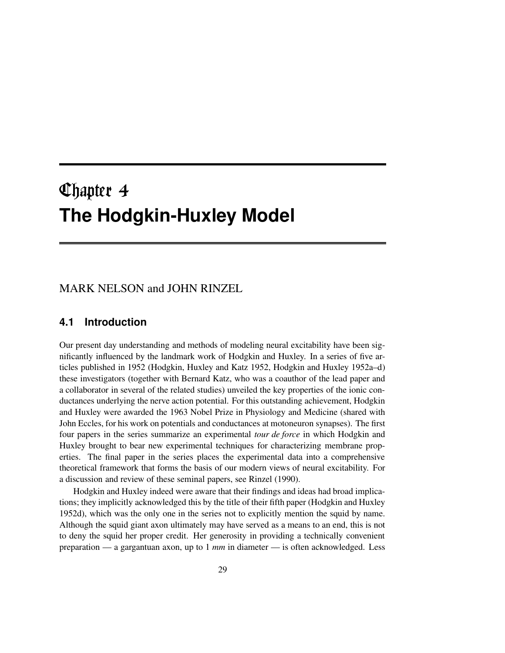# the contract of the contract of the contract of the contract of the contract of the contract of the contract of **The Hodgkin-Huxley Model**

# MARK NELSON and JOHN RINZEL

# **4.1 Introduction**

Our present day understanding and methods of modeling neural excitability have been significantly influenced by the landmark work of Hodgkin and Huxley. In a series of five articles published in 1952 (Hodgkin, Huxley and Katz 1952, Hodgkin and Huxley 1952a–d) these investigators (together with Bernard Katz, who was a coauthor of the lead paper and a collaborator in several of the related studies) unveiled the key properties of the ionic conductances underlying the nerve action potential. For this outstanding achievement, Hodgkin and Huxley were awarded the 1963 Nobel Prize in Physiology and Medicine (shared with John Eccles, for his work on potentials and conductances at motoneuron synapses). The first four papers in the series summarize an experimental *tour de force* in which Hodgkin and Huxley brought to bear new experimental techniques for characterizing membrane properties. The final paper in the series places the experimental data into a comprehensive theoretical framework that forms the basis of our modern views of neural excitability. For a discussion and review of these seminal papers, see Rinzel (1990).

Hodgkin and Huxley indeed were aware that their findings and ideas had broad implications; they implicitly acknowledged this by the title of their fifth paper (Hodgkin and Huxley 1952d), which was the only one in the series not to explicitly mention the squid by name. Although the squid giant axon ultimately may have served as a means to an end, this is not to deny the squid her proper credit. Her generosity in providing a technically convenient preparation — a gargantuan axon, up to 1 *mm* in diameter — is often acknowledged. Less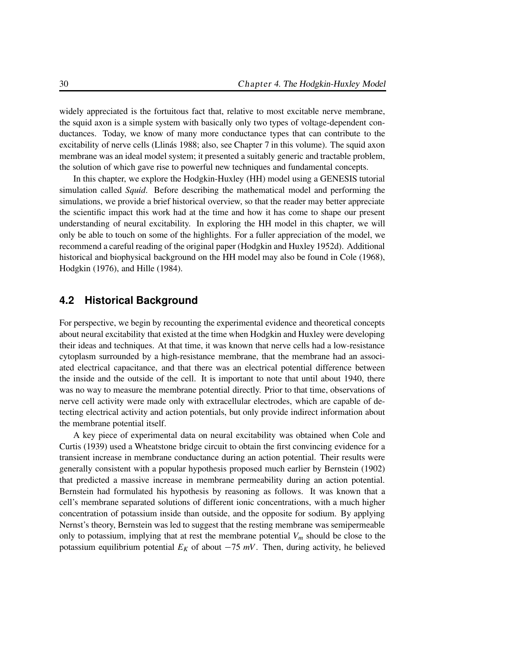widely appreciated is the fortuitous fact that, relative to most excitable nerve membrane, the squid axon is a simple system with basically only two types of voltage-dependent conductances. Today, we know of many more conductance types that can contribute to the excitability of nerve cells (Llinás 1988; also, see Chapter 7 in this volume). The squid axon membrane was an ideal model system; it presented a suitably generic and tractable problem, the solution of which gave rise to powerful new techniques and fundamental concepts.

In this chapter, we explore the Hodgkin-Huxley (HH) model using a GENESIS tutorial simulation called *Squid*. Before describing the mathematical model and performing the simulations, we provide a brief historical overview, so that the reader may better appreciate the scientific impact this work had at the time and how it has come to shape our present understanding of neural excitability. In exploring the HH model in this chapter, we will only be able to touch on some of the highlights. For a fuller appreciation of the model, we recommend a careful reading of the original paper (Hodgkin and Huxley 1952d). Additional historical and biophysical background on the HH model may also be found in Cole (1968), Hodgkin (1976), and Hille (1984).

# **4.2 Historical Background**

For perspective, we begin by recounting the experimental evidence and theoretical concepts about neural excitability that existed at the time when Hodgkin and Huxley were developing their ideas and techniques. At that time, it was known that nerve cells had a low-resistance cytoplasm surrounded by a high-resistance membrane, that the membrane had an associated electrical capacitance, and that there was an electrical potential difference between the inside and the outside of the cell. It is important to note that until about 1940, there was no way to measure the membrane potential directly. Prior to that time, observations of nerve cell activity were made only with extracellular electrodes, which are capable of detecting electrical activity and action potentials, but only provide indirect information about the membrane potential itself.

A key piece of experimental data on neural excitability was obtained when Cole and Curtis (1939) used a Wheatstone bridge circuit to obtain the first convincing evidence for a transient increase in membrane conductance during an action potential. Their results were generally consistent with a popular hypothesis proposed much earlier by Bernstein (1902) that predicted a massive increase in membrane permeability during an action potential. Bernstein had formulated his hypothesis by reasoning as follows. It was known that a cell's membrane separated solutions of different ionic concentrations, with a much higher concentration of potassium inside than outside, and the opposite for sodium. By applying Nernst's theory, Bernstein was led to suggest that the resting membrane was semipermeable only to potassium, implying that at rest the membrane potential  $V_m$  should be close to the potassium equilibrium potential  $E_K$  of about  $-75$  mV. Then, during activity, he believed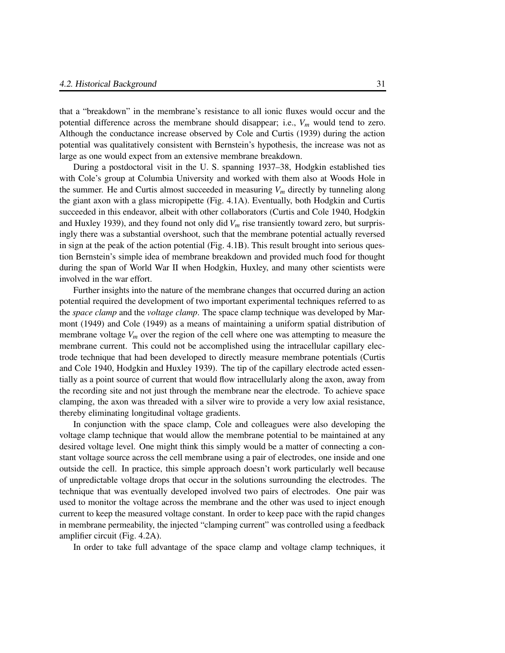that a "breakdown" in the membrane's resistance to all ionic fluxes would occur and the potential difference across the membrane should disappear; i.e., *V<sup>m</sup>* would tend to zero. Although the conductance increase observed by Cole and Curtis (1939) during the action potential was qualitatively consistent with Bernstein's hypothesis, the increase was not as large as one would expect from an extensive membrane breakdown.

During a postdoctoral visit in the U. S. spanning 1937–38, Hodgkin established ties with Cole's group at Columbia University and worked with them also at Woods Hole in the summer. He and Curtis almost succeeded in measuring  $V_m$  directly by tunneling along the giant axon with a glass micropipette (Fig. 4.1A). Eventually, both Hodgkin and Curtis succeeded in this endeavor, albeit with other collaborators (Curtis and Cole 1940, Hodgkin and Huxley 1939), and they found not only did  $V<sub>m</sub>$  rise transiently toward zero, but surprisingly there was a substantial overshoot, such that the membrane potential actually reversed in sign at the peak of the action potential (Fig. 4.1B). This result brought into serious question Bernstein's simple idea of membrane breakdown and provided much food for thought during the span of World War II when Hodgkin, Huxley, and many other scientists were involved in the war effort.

Further insights into the nature of the membrane changes that occurred during an action potential required the development of two important experimental techniques referred to as the *space clamp* and the *voltage clamp*. The space clamp technique was developed by Marmont (1949) and Cole (1949) as a means of maintaining a uniform spatial distribution of membrane voltage  $V_m$  over the region of the cell where one was attempting to measure the membrane current. This could not be accomplished using the intracellular capillary electrode technique that had been developed to directly measure membrane potentials (Curtis and Cole 1940, Hodgkin and Huxley 1939). The tip of the capillary electrode acted essentially as a point source of current that would flow intracellularly along the axon, away from the recording site and not just through the membrane near the electrode. To achieve space clamping, the axon was threaded with a silver wire to provide a very low axial resistance, thereby eliminating longitudinal voltage gradients.

In conjunction with the space clamp, Cole and colleagues were also developing the voltage clamp technique that would allow the membrane potential to be maintained at any desired voltage level. One might think this simply would be a matter of connecting a constant voltage source across the cell membrane using a pair of electrodes, one inside and one outside the cell. In practice, this simple approach doesn't work particularly well because of unpredictable voltage drops that occur in the solutions surrounding the electrodes. The technique that was eventually developed involved two pairs of electrodes. One pair was used to monitor the voltage across the membrane and the other was used to inject enough current to keep the measured voltage constant. In order to keep pace with the rapid changes in membrane permeability, the injected "clamping current" was controlled using a feedback amplifier circuit (Fig. 4.2A).

In order to take full advantage of the space clamp and voltage clamp techniques, it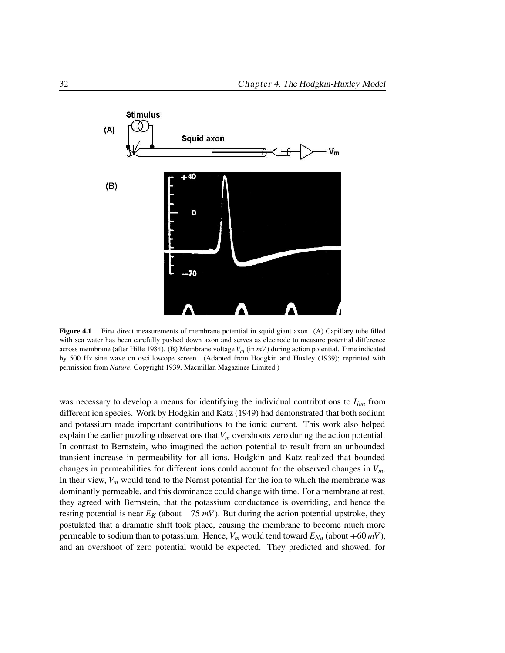

**Figure** 4.1 First direct measurements of membrane potential in squid giant axon. (A) Capillary tube filled with sea water has been carefully pushed down axon and serves as electrode to measure potential difference across membrane (after Hille 1984). (B) Membrane voltage *Vm* (in *mV*) during action potential. Time indicated by 500 Hz sine wave on oscilloscope screen. (Adapted from Hodgkin and Huxley (1939); reprinted with permission from *Nature*, Copyright 1939, Macmillan Magazines Limited.)

was necessary to develop a means for identifying the individual contributions to *Iion* from different ion species. Work by Hodgkin and Katz (1949) had demonstrated that both sodium and potassium made important contributions to the ionic current. This work also helped explain the earlier puzzling observations that  $V_m$  overshoots zero during the action potential. In contrast to Bernstein, who imagined the action potential to result from an unbounded transient increase in permeability for all ions, Hodgkin and Katz realized that bounded changes in permeabilities for different ions could account for the observed changes in *Vm*. In their view,  $V_m$  would tend to the Nernst potential for the ion to which the membrane was dominantly permeable, and this dominance could change with time. For a membrane at rest, they agreed with Bernstein, that the potassium conductance is overriding, and hence the resting potential is near  $E_K$  (about  $-75 \, mV$ ). But during the action potential upstroke, they postulated that a dramatic shift took place, causing the membrane to become much more permeable to sodium than to potassium. Hence,  $V_m$  would tend toward  $E_{Na}$  (about +60  $mV$ ), and an overshoot of zero potential would be expected. They predicted and showed, for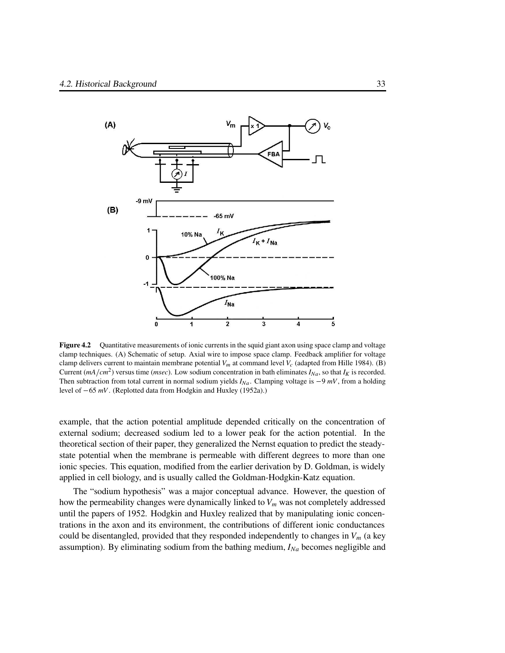

**Figure 4.2** Quantitative measurements of ionic currents in the squid giant axon using space clamp and voltage clamp techniques. (A) Schematic of setup. Axial wire to impose space clamp. Feedback amplifier for voltage clamp delivers current to maintain membrane potential  $V_m$  at command level  $V_c$  (adapted from Hille 1984). (B) Current  $(mA/cm^2)$  versus time (*msec*). Low sodium concentration in bath eliminates  $I_{Na}$ , so that  $I_K$  is recorded. Then subtraction from total current in normal sodium yields  $I_{Na}$ . Clamping voltage is  $-9$  *mV*, from a holding level of  $-65$  *mV*. (Replotted data from Hodgkin and Huxley (1952a).)

example, that the action potential amplitude depended critically on the concentration of external sodium; decreased sodium led to a lower peak for the action potential. In the theoretical section of their paper, they generalized the Nernst equation to predict the steadystate potential when the membrane is permeable with different degrees to more than one ionic species. This equation, modified from the earlier derivation by D. Goldman, is widely applied in cell biology, and is usually called the Goldman-Hodgkin-Katz equation.

The "sodium hypothesis" was a major conceptual advance. However, the question of how the permeability changes were dynamically linked to *V<sup>m</sup>* was not completely addressed until the papers of 1952. Hodgkin and Huxley realized that by manipulating ionic concentrations in the axon and its environment, the contributions of different ionic conductances could be disentangled, provided that they responded independently to changes in  $V_m$  (a key assumption). By eliminating sodium from the bathing medium, *INa* becomes negligible and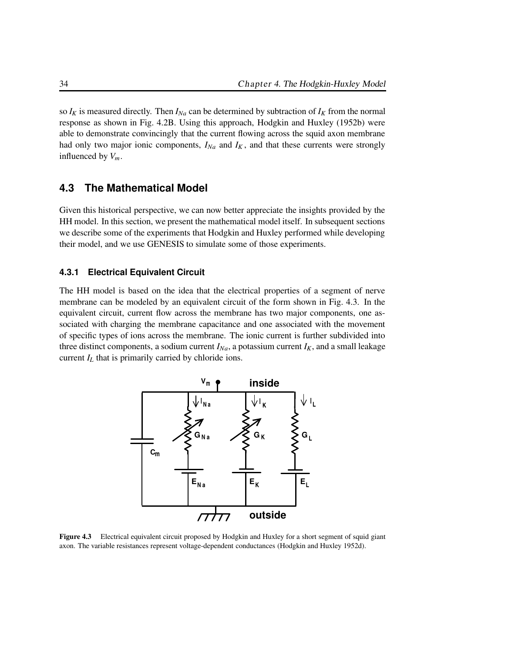so  $I_K$  is measured directly. Then  $I_{Na}$  can be determined by subtraction of  $I_K$  from the normal response as shown in Fig. 4.2B. Using this approach, Hodgkin and Huxley (1952b) were able to demonstrate convincingly that the current flowing across the squid axon membrane had only two major ionic components,  $I_{Na}$  and  $I_K$ , and that these currents were strongly influenced by  $V_m$ .

# **4.3 The Mathematical Model**

Given this historical perspective, we can now better appreciate the insights provided by the HH model. In this section, we present the mathematical model itself. In subsequent sections we describe some of the experiments that Hodgkin and Huxley performed while developing their model, and we use GENESIS to simulate some of those experiments.

#### **4.3.1 Electrical Equivalent Circuit**

The HH model is based on the idea that the electrical properties of a segment of nerve membrane can be modeled by an equivalent circuit of the form shown in Fig. 4.3. In the equivalent circuit, current flow across the membrane has two major components, one associated with charging the membrane capacitance and one associated with the movement of specific types of ions across the membrane. The ionic current is further subdivided into three distinct components, a sodium current  $I_{Na}$ , a potassium current  $I_K$ , and a small leakage current  $I_L$  that is primarily carried by chloride ions.



**Figure 4.3** Electrical equivalent circuit proposed by Hodgkin and Huxley for a short segment of squid giant axon. The variable resistances represent voltage-dependent conductances (Hodgkin and Huxley 1952d).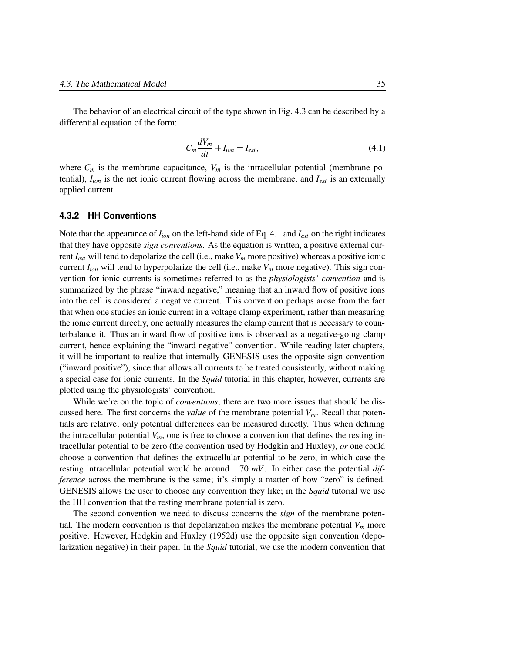The behavior of an electrical circuit of the type shown in Fig. 4.3 can be described by a differential equation of the form:

$$
C_m \frac{dV_m}{dt} + I_{ion} = I_{ext},\tag{4.1}
$$

where  $C_m$  is the membrane capacitance,  $V_m$  is the intracellular potential (membrane potential), *Iion* is the net ionic current flowing across the membrane, and *Iext* is an externally applied current.

#### **4.3.2 HH Conventions**

Note that the appearance of  $I_{ion}$  on the left-hand side of Eq. 4.1 and  $I_{ext}$  on the right indicates that they have opposite *sign conventions*. As the equation is written, a positive external current *Iext* will tend to depolarize the cell (i.e., make *V<sup>m</sup>* more positive) whereas a positive ionic current  $I_{ion}$  will tend to hyperpolarize the cell (i.e., make  $V_m$  more negative). This sign convention for ionic currents is sometimes referred to as the *physiologists' convention* and is summarized by the phrase "inward negative," meaning that an inward flow of positive ions into the cell is considered a negative current. This convention perhaps arose from the fact that when one studies an ionic current in a voltage clamp experiment, rather than measuring the ionic current directly, one actually measures the clamp current that is necessary to counterbalance it. Thus an inward flow of positive ions is observed as a negative-going clamp current, hence explaining the "inward negative" convention. While reading later chapters, it will be important to realize that internally GENESIS uses the opposite sign convention ("inward positive"), since that allows all currents to be treated consistently, without making a special case for ionic currents. In the *Squid* tutorial in this chapter, however, currents are plotted using the physiologists' convention.

While we're on the topic of *conventions*, there are two more issues that should be discussed here. The first concerns the *value* of the membrane potential  $V_m$ . Recall that potentials are relative; only potential differences can be measured directly. Thus when defining the intracellular potential  $V_m$ , one is free to choose a convention that defines the resting intracellular potential to be zero (the convention used by Hodgkin and Huxley), *or* one could choose a convention that defines the extracellular potential to be zero, in which case the resting intracellular potential would be around  $-70$  mV. In either case the potential *difference* across the membrane is the same; it's simply a matter of how "zero" is defined. GENESIS allows the user to choose any convention they like; in the *Squid* tutorial we use the HH convention that the resting membrane potential is zero.

The second convention we need to discuss concerns the *sign* of the membrane potential. The modern convention is that depolarization makes the membrane potential  $V_m$  more positive. However, Hodgkin and Huxley (1952d) use the opposite sign convention (depolarization negative) in their paper. In the *Squid* tutorial, we use the modern convention that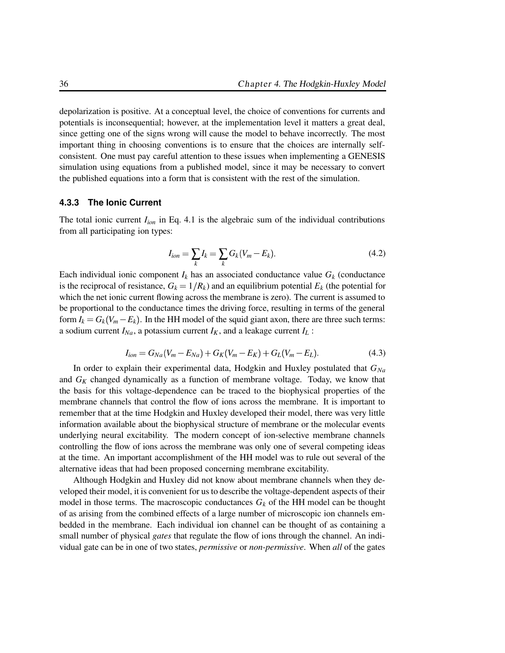depolarization is positive. At a conceptual level, the choice of conventions for currents and potentials is inconsequential; however, at the implementation level it matters a great deal, since getting one of the signs wrong will cause the model to behave incorrectly. The most important thing in choosing conventions is to ensure that the choices are internally selfconsistent. One must pay careful attention to these issues when implementing a GENESIS simulation using equations from a published model, since it may be necessary to convert the published equations into a form that is consistent with the rest of the simulation.

#### **4.3.3 The Ionic Current**

The total ionic current *Iion* in Eq. 4.1 is the algebraic sum of the individual contributions from all participating ion types:

$$
I_{ion} = \sum_{k} I_k = \sum_{k} G_k (V_m - E_k).
$$
 (4.2)

Each individual ionic component  $I_k$  has an associated conductance value  $G_k$  (conductance is the reciprocal of resistance,  $G_k = 1/R_k$ ) and an equilibrium potential  $E_k$  (the potential for which the net ionic current flowing across the membrane is zero). The current is assumed to be proportional to the conductance times the driving force, resulting in terms of the general form  $I_k = G_k(V_m - E_k)$ . In the HH model of the squid giant axon, there are three such terms: a sodium current  $I_{Na}$ , a potassium current  $I_K$ , and a leakage current  $I_L$ :

$$
I_{ion} = G_{Na}(V_m - E_{Na}) + G_K(V_m - E_K) + G_L(V_m - E_L). \tag{4.3}
$$

In order to explain their experimental data, Hodgkin and Huxley postulated that *GNa* and *G<sup>K</sup>* changed dynamically as a function of membrane voltage. Today, we know that the basis for this voltage-dependence can be traced to the biophysical properties of the membrane channels that control the flow of ions across the membrane. It is important to remember that at the time Hodgkin and Huxley developed their model, there was very little information available about the biophysical structure of membrane or the molecular events underlying neural excitability. The modern concept of ion-selective membrane channels controlling the flow of ions across the membrane was only one of several competing ideas at the time. An important accomplishment of the HH model was to rule out several of the alternative ideas that had been proposed concerning membrane excitability.

Although Hodgkin and Huxley did not know about membrane channels when they developed their model, it is convenient for us to describe the voltage-dependent aspects of their model in those terms. The macroscopic conductances  $G_k$  of the HH model can be thought of as arising from the combined effects of a large number of microscopic ion channels embedded in the membrane. Each individual ion channel can be thought of as containing a small number of physical *gates* that regulate the flow of ions through the channel. An individual gate can be in one of two states, *permissive* or *non-permissive*. When *all* of the gates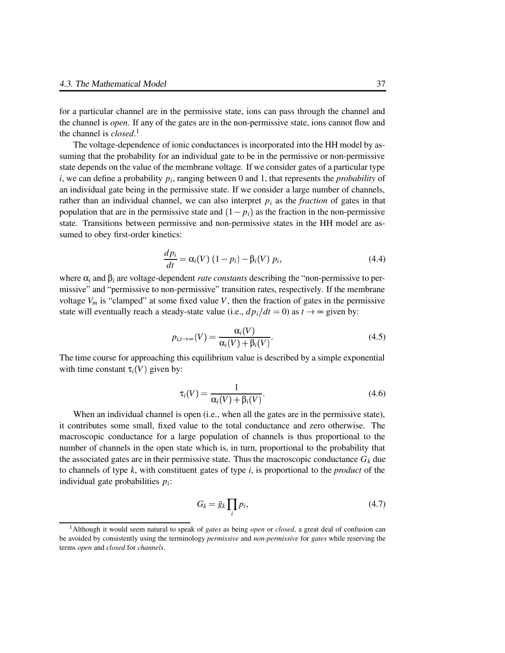for a particular channel are in the permissive state, ions can pass through the channel and the channel is *open*. If any of the gates are in the non-permissive state, ions cannot flow and the channel is *closed*. 1

The voltage-dependence of ionic conductances is incorporated into the HH model by assuming that the probability for an individual gate to be in the permissive or non-permissive state depends on the value of the membrane voltage. If we consider gates of a particular type  $i$ , we can define a probability  $p_i$ , ranging between 0 and 1, that represents the *probability* of an individual gate being in the permissive state. If we consider a large number of channels, rather than an individual channel, we can also interpret  $p_i$  as the *fraction* of gates in that population that are in the permissive state and  $(1 - p_i)$  as the fraction in the non-permissive state. Transitions between permissive and non-permissive states in the HH model are assumed to obey first-order kinetics:

$$
\frac{dp_i}{dt} = \alpha_i(V) (1 - p_i) - \beta_i(V) p_i,
$$
\n(4.4)

where  $\alpha_i$  and  $\beta_i$  are voltage-dependent *rate constants* describing the "non-permissive to permissive" and "permissive to non-permissive" transition rates, respectively. If the membrane voltage  $V_m$  is "clamped" at some fixed value V, then the fraction of gates in the permissive state will eventually reach a steady-state value (i.e.,  $dp_i/dt = 0$ ) as  $t \to \infty$  given by:

$$
p_{i,t\to\infty}(V) = \frac{\alpha_i(V)}{\alpha_i(V) + \beta_i(V)}.
$$
\n(4.5)

The time course for approaching this equilibrium value is described by a simple exponential with time constant  $\tau_i(V)$  given by:

$$
\tau_i(V) = \frac{1}{\alpha_i(V) + \beta_i(V)}.\tag{4.6}
$$

When an individual channel is open (i.e., when all the gates are in the permissive state), it contributes some small, fixed value to the total conductance and zero otherwise. The macroscopic conductance for a large population of channels is thus proportional to the number of channels in the open state which is, in turn, proportional to the probability that the associated gates are in their permissive state. Thus the macroscopic conductance  $G_k$  due to channels of type *k*, with constituent gates of type *i*, is proportional to the *product* of the individual gate probabilities *p<sup>i</sup>* :

$$
G_k = \bar{g}_k \prod_i p_i,\tag{4.7}
$$

<sup>1</sup>Although it would seem natural to speak of *gates* as being *open* or *closed*, a great deal of confusion can be avoided by consistently using the terminology *permissive* and *non-permissive* for *gates* while reserving the terms *open* and *closed* for *channels*.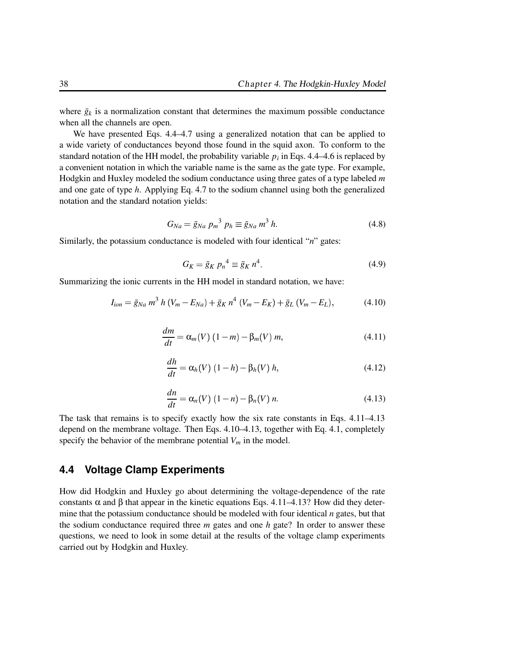where  $\bar{g}_k$  is a normalization constant that determines the maximum possible conductance when all the channels are open.

We have presented Eqs. 4.4–4.7 using a generalized notation that can be applied to a wide variety of conductances beyond those found in the squid axon. To conform to the standard notation of the HH model, the probability variable  $p_i$  in Eqs. 4.4–4.6 is replaced by a convenient notation in which the variable name is the same as the gate type. For example, Hodgkin and Huxley modeled the sodium conductance using three gates of a type labeled *m* and one gate of type *h*. Applying Eq. 4.7 to the sodium channel using both the generalized notation and the standard notation yields:

$$
G_{Na} = \bar{g}_{Na} \, p_m^3 \, p_h \equiv \bar{g}_{Na} \, m^3 \, h. \tag{4.8}
$$

Similarly, the potassium conductance is modeled with four identical "*n*" gates:

$$
G_K = \bar{g}_K p_n^4 \equiv \bar{g}_K n^4. \tag{4.9}
$$

Summarizing the ionic currents in the HH model in standard notation, we have:

$$
I_{ion} = \bar{g}_{Na} \, m^3 \, h \, (V_m - E_{Na}) + \bar{g}_K \, n^4 \, (V_m - E_K) + \bar{g}_L \, (V_m - E_L), \tag{4.10}
$$

$$
\frac{dm}{dt} = \alpha_m(V) (1 - m) - \beta_m(V) m,
$$
\n(4.11)

$$
\frac{dh}{dt} = \alpha_h(V) (1 - h) - \beta_h(V) h, \qquad (4.12)
$$

$$
\frac{dn}{dt} = \alpha_n(V) (1 - n) - \beta_n(V) n. \tag{4.13}
$$

The task that remains is to specify exactly how the six rate constants in Eqs. 4.11–4.13 depend on the membrane voltage. Then Eqs. 4.10–4.13, together with Eq. 4.1, completely specify the behavior of the membrane potential  $V_m$  in the model.

#### **4.4 Voltage Clamp Experiments**

How did Hodgkin and Huxley go about determining the voltage-dependence of the rate constants  $\alpha$  and  $\beta$  that appear in the kinetic equations Eqs. 4.11–4.13? How did they determine that the potassium conductance should be modeled with four identical *n* gates, but that the sodium conductance required three *m* gates and one *h* gate? In order to answer these questions, we need to look in some detail at the results of the voltage clamp experiments carried out by Hodgkin and Huxley.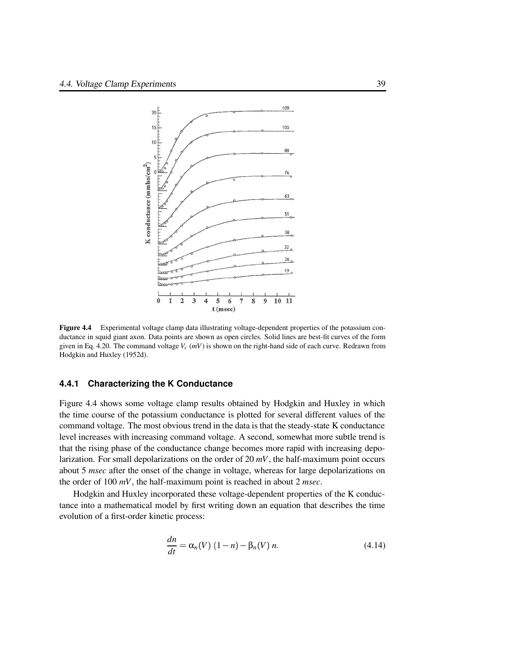

**Figure 4.4** Experimental voltage clamp data illustrating voltage-dependent properties of the potassium conductance in squid giant axon. Data points are shown as open circles. Solid lines are best-fit curves of the form given in Eq. 4.20. The command voltage  $V_c$  ( $mV$ ) is shown on the right-hand side of each curve. Redrawn from Hodgkin and Huxley (1952d).

#### **4.4.1 Characterizing the K Conductance**

Figure 4.4 shows some voltage clamp results obtained by Hodgkin and Huxley in which the time course of the potassium conductance is plotted for several different values of the command voltage. The most obvious trend in the data is that the steady-state K conductance level increases with increasing command voltage. A second, somewhat more subtle trend is that the rising phase of the conductance change becomes more rapid with increasing depolarization. For small depolarizations on the order of 20 *mV*, the half-maximum point occurs about 5 *msec* after the onset of the change in voltage, whereas for large depolarizations on the order of 100 *mV*, the half-maximum point is reached in about 2 *msec*.

Hodgkin and Huxley incorporated these voltage-dependent properties of the K conductance into a mathematical model by first writing down an equation that describes the time evolution of a first-order kinetic process:

$$
\frac{dn}{dt} = \alpha_n(V) (1 - n) - \beta_n(V) n. \tag{4.14}
$$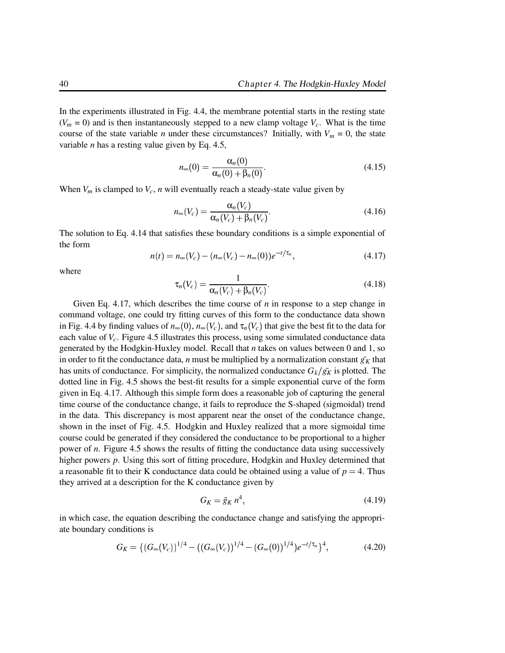In the experiments illustrated in Fig. 4.4, the membrane potential starts in the resting state  $(V_m = 0)$  and is then instantaneously stepped to a new clamp voltage  $V_c$ . What is the time course of the state variable *n* under these circumstances? Initially, with  $V_m = 0$ , the state variable *n* has a resting value given by Eq. 4.5,

$$
n_{\infty}(0) = \frac{\alpha_n(0)}{\alpha_n(0) + \beta_n(0)}.
$$
\n(4.15)

When  $V_m$  is clamped to  $V_c$ , *n* will eventually reach a steady-state value given by

$$
n_{\infty}(V_c) = \frac{\alpha_n(V_c)}{\alpha_n(V_c) + \beta_n(V_c)}.
$$
\n(4.16)

The solution to Eq. 4.14 that satisfies these boundary conditions is a simple exponential of the form

$$
n(t) = n_{\infty}(V_c) - (n_{\infty}(V_c) - n_{\infty}(0))e^{-t/\tau_n},
$$
\n(4.17)

where

$$
\tau_n(V_c) = \frac{1}{\alpha_n(V_c) + \beta_n(V_c)}.\tag{4.18}
$$

Given Eq. 4.17, which describes the time course of *n* in response to a step change in command voltage, one could try fitting curves of this form to the conductance data shown in Fig. 4.4 by finding values of  $n_{\infty}(0)$ ,  $n_{\infty}(V_c)$ , and  $\tau_n(V_c)$  that give the best fit to the data for each value of *Vc*. Figure 4.5 illustrates this process, using some simulated conductance data generated by the Hodgkin-Huxley model. Recall that *n* takes on values between 0 and 1, so in order to fit the conductance data, *n* must be multiplied by a normalization constant  $\bar{g}_K$  that has units of conductance. For simplicity, the normalized conductance  $G_k/\bar{g}_k$  is plotted. The dotted line in Fig. 4.5 shows the best-fit results for a simple exponential curve of the form given in Eq. 4.17. Although this simple form does a reasonable job of capturing the general time course of the conductance change, it fails to reproduce the S-shaped (sigmoidal) trend in the data. This discrepancy is most apparent near the onset of the conductance change, shown in the inset of Fig. 4.5. Hodgkin and Huxley realized that a more sigmoidal time course could be generated if they considered the conductance to be proportional to a higher power of *n*. Figure 4.5 shows the results of fitting the conductance data using successively higher powers *p*. Using this sort of fitting procedure, Hodgkin and Huxley determined that a reasonable fit to their K conductance data could be obtained using a value of  $p = 4$ . Thus they arrived at a description for the K conductance given by

$$
G_K = \bar{g}_K n^4,\tag{4.19}
$$

in which case, the equation describing the conductance change and satisfying the appropriate boundary conditions is

$$
G_K = \{ (G_\infty(V_c))^{1/4} - ((G_\infty(V_c))^{1/4} - (G_\infty(0))^{1/4})e^{-t/\tau_n} \}^4, \tag{4.20}
$$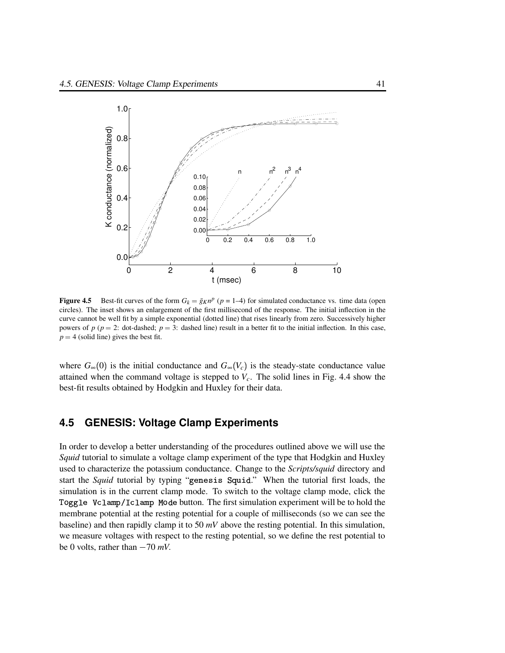

**Figure 4.5** Best-fit curves of the form  $G_k = \bar{g}_K n^p$  ( $p = 1-4$ ) for simulated conductance vs. time data (open circles). The inset shows an enlargement of the first millisecond of the response. The initial inflection in the curve cannot be well fit by a simple exponential (dotted line) that rises linearly from zero. Successively higher powers of  $p$  ( $p = 2$ : dot-dashed;  $p = 3$ : dashed line) result in a better fit to the initial inflection. In this case,  $p = 4$  (solid line) gives the best fit.

where  $G_{\infty}(0)$  is the initial conductance and  $G_{\infty}(V_c)$  is the steady-state conductance value attained when the command voltage is stepped to  $V_c$ . The solid lines in Fig. 4.4 show the best-fit results obtained by Hodgkin and Huxley for their data.

# **4.5 GENESIS: Voltage Clamp Experiments**

In order to develop a better understanding of the procedures outlined above we will use the *Squid* tutorial to simulate a voltage clamp experiment of the type that Hodgkin and Huxley used to characterize the potassium conductance. Change to the *Scripts/squid* directory and start the *Squid* tutorial by typing "genesis Squid." When the tutorial first loads, the simulation is in the current clamp mode. To switch to the voltage clamp mode, click the Toggle Vclamp/Iclamp Mode button. The first simulation experiment will be to hold the membrane potential at the resting potential for a couple of milliseconds (so we can see the baseline) and then rapidly clamp it to 50 *mV* above the resting potential. In this simulation, we measure voltages with respect to the resting potential, so we define the rest potential to be 0 volts, rather than  $-70$  *mV*.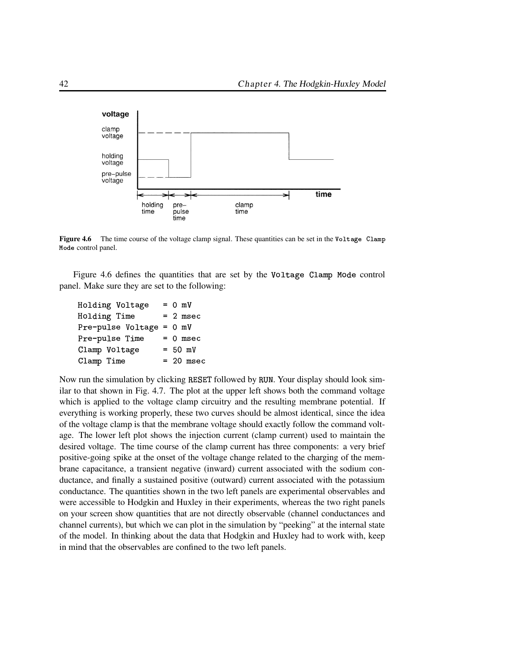

**Figure 4.6** The time course of the voltage clamp signal. These quantities can be set in the Voltage Clamp Mode control panel.

Figure 4.6 defines the quantities that are set by the Voltage Clamp Mode control panel. Make sure they are set to the following:

| Holding Voltage          | $= 0$ mV    |
|--------------------------|-------------|
| Holding Time             | $= 2$ msec  |
| Pre-pulse Voltage = 0 mV |             |
| Pre-pulse Time           | $= 0$ msec  |
| Clamp Voltage            | $= 50$ mV   |
| Clamp Time               | $= 20$ msec |
|                          |             |

Now run the simulation by clicking RESET followed by RUN. Your display should look similar to that shown in Fig. 4.7. The plot at the upper left shows both the command voltage which is applied to the voltage clamp circuitry and the resulting membrane potential. If everything is working properly, these two curves should be almost identical, since the idea of the voltage clamp is that the membrane voltage should exactly follow the command voltage. The lower left plot shows the injection current (clamp current) used to maintain the desired voltage. The time course of the clamp current has three components: a very brief positive-going spike at the onset of the voltage change related to the charging of the membrane capacitance, a transient negative (inward) current associated with the sodium conductance, and finally a sustained positive (outward) current associated with the potassium conductance. The quantities shown in the two left panels are experimental observables and were accessible to Hodgkin and Huxley in their experiments, whereas the two right panels on your screen show quantities that are not directly observable (channel conductances and channel currents), but which we can plot in the simulation by "peeking" at the internal state of the model. In thinking about the data that Hodgkin and Huxley had to work with, keep in mind that the observables are confined to the two left panels.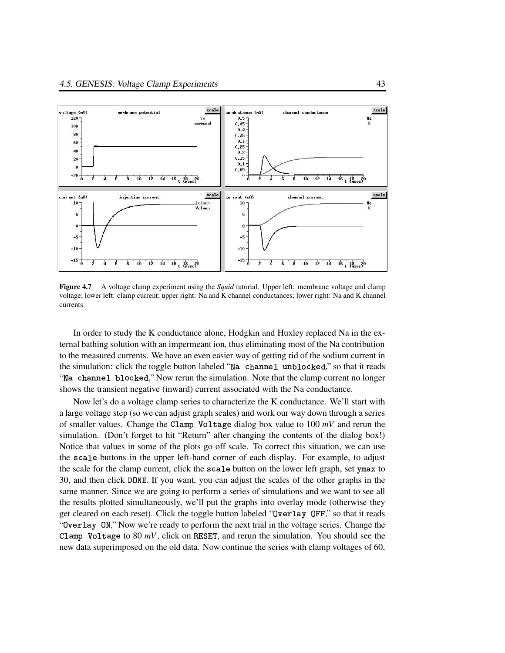

**Figure 4.7** A voltage clamp experiment using the *Squid* tutorial. Upper left: membrane voltage and clamp voltage; lower left: clamp current; upper right: Na and K channel conductances; lower right: Na and K channel currents.

In order to study the K conductance alone, Hodgkin and Huxley replaced Na in the external bathing solution with an impermeant ion, thus eliminating most of the Na contribution to the measured currents. We have an even easier way of getting rid of the sodium current in the simulation: click the toggle button labeled "Na channel unblocked," so that it reads "Na channel blocked," Now rerun the simulation. Note that the clamp current no longer shows the transient negative (inward) current associated with the Na conductance.

Now let's do a voltage clamp series to characterize the K conductance. We'll start with a large voltage step (so we can adjust graph scales) and work our way down through a series of smaller values. Change the Clamp Voltage dialog box value to 100 mV and rerun the simulation. (Don't forget to hit "Return" after changing the contents of the dialog box!) Notice that values in some of the plots go off scale. To correct this situation, we can use the scale buttons in the upper left-hand corner of each display. For example, to adjust the scale for the clamp current, click the scale button on the lower left graph, set ymax to 30, and then click DONE. If you want, you can adjust the scales of the other graphs in the same manner. Since we are going to perform a series of simulations and we want to see all the results plotted simultaneously, we'll put the graphs into overlay mode (otherwise they get cleared on each reset). Click the toggle button labeled "0verlay OFF," so that it reads "Overlay ON," Now we're ready to perform the next trial in the voltage series. Change the Clamp Voltage to 80  $mV$ , click on RESET, and rerun the simulation. You should see the new data superimposed on the old data. Now continue the series with clamp voltages of 60,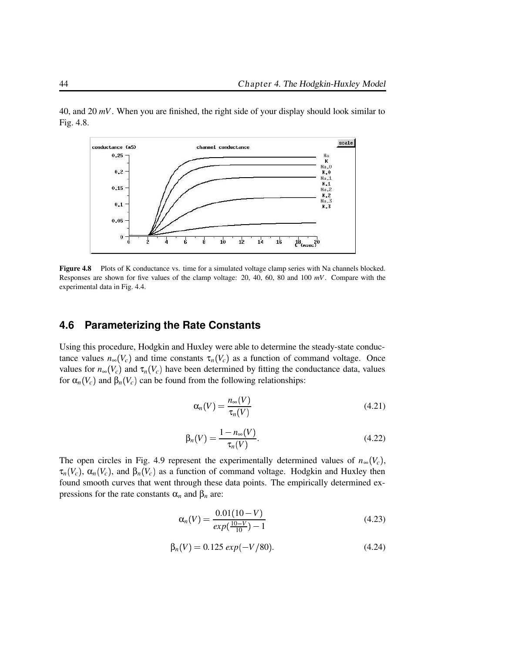

40, and 20 *mV*. When you are finished, the right side of your display should look similar to Fig. 4.8.

**Figure 4.8** Plots of K conductance vs. time for a simulated voltage clamp series with Na channels blocked. Responses are shown for five values of the clamp voltage: 20, 40, 60, 80 and 100 *mV*. Compare with the experimental data in Fig. 4.4.

## **4.6 Parameterizing the Rate Constants**

Using this procedure, Hodgkin and Huxley were able to determine the steady-state conductance values  $n_{\infty}(V_c)$  and time constants  $\tau_n(V_c)$  as a function of command voltage. Once values for  $n_{\infty}(V_c)$  and  $\tau_n(V_c)$  have been determined by fitting the conductance data, values for  $\alpha_n(V_c)$  and  $\beta_n(V_c)$  can be found from the following relationships:

$$
\alpha_n(V) = \frac{n_{\infty}(V)}{\tau_n(V)}\tag{4.21}
$$

$$
\beta_n(V) = \frac{1 - n_{\infty}(V)}{\tau_n(V)}.
$$
\n(4.22)

The open circles in Fig. 4.9 represent the experimentally determined values of  $n_{\infty}(V_c)$ ,  $\tau_n(V_c)$ ,  $\alpha_n(V_c)$ , and  $\beta_n(V_c)$  as a function of command voltage. Hodgkin and Huxley then found smooth curves that went through these data points. The empirically determined expressions for the rate constants  $α<sub>n</sub>$  and  $β<sub>n</sub>$  are:

$$
\alpha_n(V) = \frac{0.01(10 - V)}{\exp(\frac{10 - V}{10}) - 1}
$$
\n(4.23)

$$
\beta_n(V) = 0.125 \exp(-V/80). \tag{4.24}
$$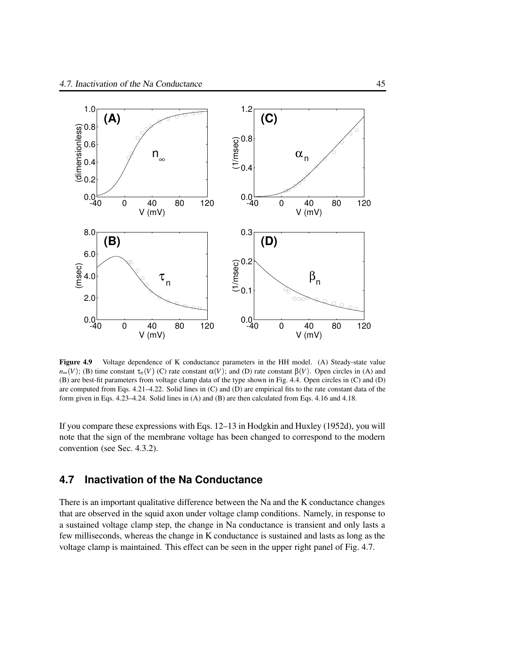

**Figure 4.9** Voltage dependence of K conductance parameters in the HH model. (A) Steady-state value  $n_{\infty}(V)$ ; (B) time constant  $\tau_n(V)$  (C) rate constant  $\alpha(V)$ ; and (D) rate constant  $\beta(V)$ . Open circles in (A) and (B) are best-fit parameters from voltage clamp data of the type shown in Fig. 4.4. Open circles in (C) and (D) are computed from Eqs. 4.21–4.22. Solid lines in (C) and (D) are empirical fits to the rate constant data of the form given in Eqs. 4.23–4.24. Solid lines in (A) and (B) are then calculated from Eqs. 4.16 and 4.18.

If you compare these expressions with Eqs. 12–13 in Hodgkin and Huxley (1952d), you will note that the sign of the membrane voltage has been changed to correspond to the modern convention (see Sec. 4.3.2).

## **4.7 Inactivation of the Na Conductance**

There is an important qualitative difference between the Na and the K conductance changes that are observed in the squid axon under voltage clamp conditions. Namely, in response to a sustained voltage clamp step, the change in Na conductance is transient and only lasts a few milliseconds, whereas the change in K conductance is sustained and lasts as long as the voltage clamp is maintained. This effect can be seen in the upper right panel of Fig. 4.7.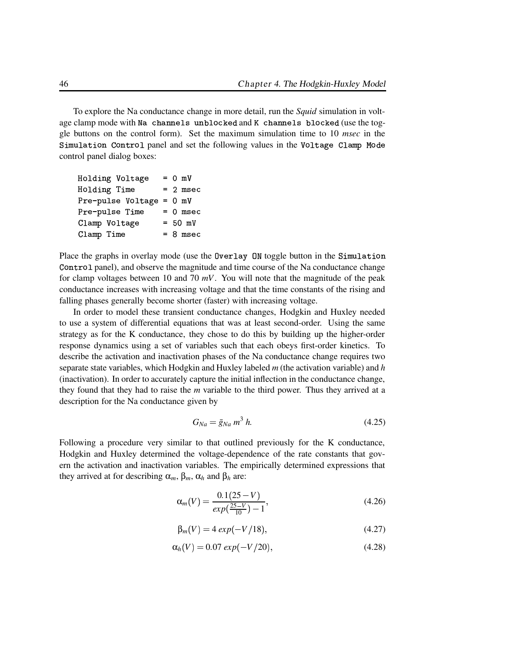To explore the Na conductance change in more detail, run the *Squid* simulation in voltage clamp mode with Na channels unblocked and K channels blocked (use the toggle buttons on the control form). Set the maximum simulation time to 10 *msec* in the Simulation Control panel and set the following values in the Voltage Clamp Mode control panel dialog boxes:

| Holding Voltage          | $= 0$ mV   |
|--------------------------|------------|
| Holding Time             | $= 2$ msec |
| Pre-pulse Voltage = 0 mV |            |
| Pre-pulse Time           | $= 0$ msec |
| Clamp Voltage            | $= 50$ mV  |
| Clamp Time               | $= 8$ msec |

Place the graphs in overlay mode (use the Overlay ON toggle button in the Simulation Control panel), and observe the magnitude and time course of the Na conductance change for clamp voltages between 10 and 70 *mV*. You will note that the magnitude of the peak conductance increases with increasing voltage and that the time constants of the rising and falling phases generally become shorter (faster) with increasing voltage.

In order to model these transient conductance changes, Hodgkin and Huxley needed to use a system of differential equations that was at least second-order. Using the same strategy as for the K conductance, they chose to do this by building up the higher-order response dynamics using a set of variables such that each obeys first-order kinetics. To describe the activation and inactivation phases of the Na conductance change requires two separate state variables, which Hodgkin and Huxley labeled *m* (the activation variable) and *h* (inactivation). In order to accurately capture the initial inflection in the conductance change, they found that they had to raise the *m* variable to the third power. Thus they arrived at a description for the Na conductance given by

$$
G_{Na} = \bar{g}_{Na} m^3 h. \tag{4.25}
$$

Following a procedure very similar to that outlined previously for the K conductance, Hodgkin and Huxley determined the voltage-dependence of the rate constants that govern the activation and inactivation variables. The empirically determined expressions that they arrived at for describing  $\alpha_m$ ,  $\beta_m$ ,  $\alpha_h$  and  $\beta_h$  are:

$$
\alpha_m(V) = \frac{0.1(25 - V)}{\exp(\frac{25 - V}{10}) - 1},\tag{4.26}
$$

$$
\beta_m(V) = 4 \exp(-V/18), \tag{4.27}
$$

$$
\alpha_h(V) = 0.07 \exp(-V/20), \tag{4.28}
$$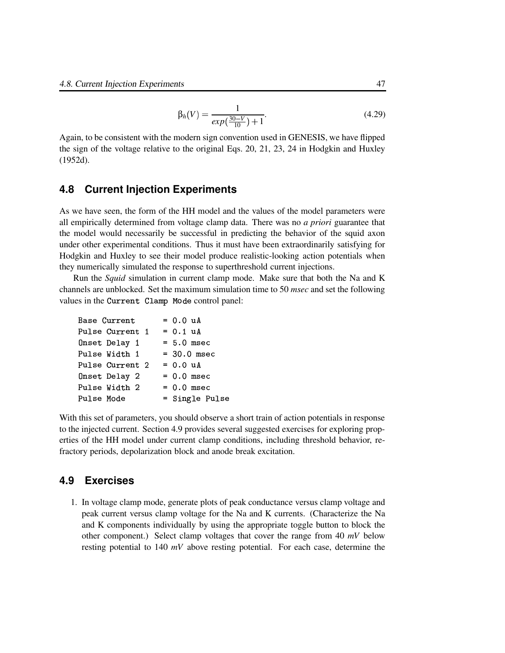$$
\beta_h(V) = \frac{1}{exp(\frac{30-V}{10}) + 1}.
$$
\n(4.29)

Again, to be consistent with the modern sign convention used in GENESIS, we have flipped the sign of the voltage relative to the original Eqs. 20, 21, 23, 24 in Hodgkin and Huxley (1952d).

#### **4.8 Current Injection Experiments**

As we have seen, the form of the HH model and the values of the model parameters were all empirically determined from voltage clamp data. There was no *a priori* guarantee that the model would necessarily be successful in predicting the behavior of the squid axon under other experimental conditions. Thus it must have been extraordinarily satisfying for Hodgkin and Huxley to see their model produce realistic-looking action potentials when they numerically simulated the response to superthreshold current injections.

Run the *Squid* simulation in current clamp mode. Make sure that both the Na and K channels are unblocked. Set the maximum simulation time to 50 *msec* and set the following values in the Current Clamp Mode control panel:

| Base Current    | $= 0.0 uA$         |  |
|-----------------|--------------------|--|
| Pulse Current 1 | $= 0.1 \text{ uA}$ |  |
| Onset Delay 1   | $= 5.0$ msec       |  |
| Pulse Width 1   | $= 30.0$ msec      |  |
| Pulse Current 2 | $= 0.0 \text{ uA}$ |  |
| Onset Delay 2   | $= 0.0$ msec       |  |
| Pulse Width 2   | $= 0.0$ msec       |  |
| Pulse Mode      | = Single Pulse     |  |

With this set of parameters, you should observe a short train of action potentials in response to the injected current. Section 4.9 provides several suggested exercises for exploring properties of the HH model under current clamp conditions, including threshold behavior, refractory periods, depolarization block and anode break excitation.

## **4.9 Exercises**

1. In voltage clamp mode, generate plots of peak conductance versus clamp voltage and peak current versus clamp voltage for the Na and K currents. (Characterize the Na and K components individually by using the appropriate toggle button to block the other component.) Select clamp voltages that cover the range from 40 *mV* below resting potential to 140 *mV* above resting potential. For each case, determine the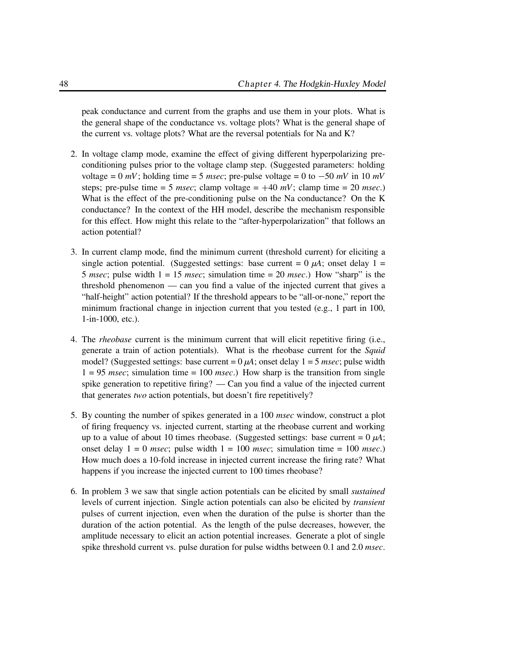peak conductance and current from the graphs and use them in your plots. What is the general shape of the conductance vs. voltage plots? What is the general shape of the current vs. voltage plots? What are the reversal potentials for Na and K?

- 2. In voltage clamp mode, examine the effect of giving different hyperpolarizing preconditioning pulses prior to the voltage clamp step. (Suggested parameters: holding voltage =  $0$  *mV*; holding time =  $5$  *msec*; pre-pulse voltage =  $0$  to  $-50$  *mV* in  $10$  *mV* steps; pre-pulse time = 5 *msec*; clamp voltage =  $+40$  *mV*; clamp time = 20 *msec*.) What is the effect of the pre-conditioning pulse on the Na conductance? On the K conductance? In the context of the HH model, describe the mechanism responsible for this effect. How might this relate to the "after-hyperpolarization" that follows an action potential?
- 3. In current clamp mode, find the minimum current (threshold current) for eliciting a single action potential. (Suggested settings: base current =  $0 \mu A$ ; onset delay 1 = 5 *msec*; pulse width 1 = 15 *msec*; simulation time = 20 *msec*.) How "sharp" is the threshold phenomenon — can you find a value of the injected current that gives a "half-height" action potential? If the threshold appears to be "all-or-none," report the minimum fractional change in injection current that you tested (e.g., 1 part in 100, 1-in-1000, etc.).
- 4. The *rheobase* current is the minimum current that will elicit repetitive firing (i.e., generate a train of action potentials). What is the rheobase current for the *Squid* model? (Suggested settings: base current  $= 0 \mu A$ ; onset delay  $1 = 5$  *msec*; pulse width 1 = 95 *msec*; simulation time = 100 *msec*.) How sharp is the transition from single spike generation to repetitive firing? — Can you find a value of the injected current that generates *two* action potentials, but doesn't fire repetitively?
- 5. By counting the number of spikes generated in a 100 *msec* window, construct a plot of firing frequency vs. injected current, starting at the rheobase current and working up to a value of about 10 times rheobase. (Suggested settings: base current =  $0 \mu A$ ; onset delay 1 = 0 *msec*; pulse width 1 = 100 *msec*; simulation time = 100 *msec*.) How much does a 10-fold increase in injected current increase the firing rate? What happens if you increase the injected current to 100 times rheobase?
- 6. In problem 3 we saw that single action potentials can be elicited by small *sustained* levels of current injection. Single action potentials can also be elicited by *transient* pulses of current injection, even when the duration of the pulse is shorter than the duration of the action potential. As the length of the pulse decreases, however, the amplitude necessary to elicit an action potential increases. Generate a plot of single spike threshold current vs. pulse duration for pulse widths between 0.1 and 2.0 *msec*.